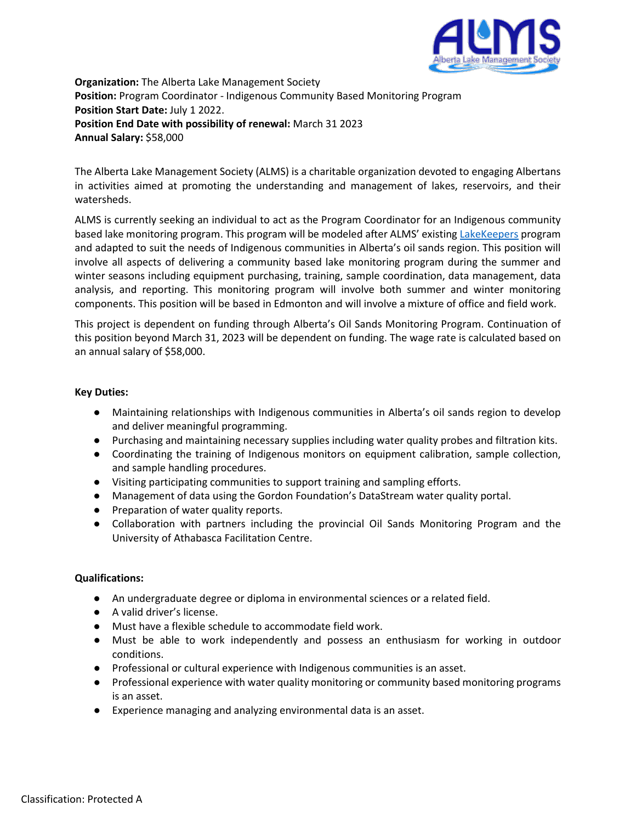

**Organization:** The Alberta Lake Management Society **Position:** Program Coordinator - Indigenous Community Based Monitoring Program **Position Start Date:** July 1 2022. **Position End Date with possibility of renewal:** March 31 2023 **Annual Salary:** \$58,000

The Alberta Lake Management Society (ALMS) is a charitable organization devoted to engaging Albertans in activities aimed at promoting the understanding and management of lakes, reservoirs, and their watersheds.

ALMS is currently seeking an individual to act as the Program Coordinator for an Indigenous community based lake monitoring program. This program will be modeled after ALMS' existing [LakeKeepers](https://alms.ca/summer-lakekeepers/) program and adapted to suit the needs of Indigenous communities in Alberta's oil sands region. This position will involve all aspects of delivering a community based lake monitoring program during the summer and winter seasons including equipment purchasing, training, sample coordination, data management, data analysis, and reporting. This monitoring program will involve both summer and winter monitoring components. This position will be based in Edmonton and will involve a mixture of office and field work.

This project is dependent on funding through Alberta's Oil Sands Monitoring Program. Continuation of this position beyond March 31, 2023 will be dependent on funding. The wage rate is calculated based on an annual salary of \$58,000.

## **Key Duties:**

- Maintaining relationships with Indigenous communities in Alberta's oil sands region to develop and deliver meaningful programming.
- Purchasing and maintaining necessary supplies including water quality probes and filtration kits.
- Coordinating the training of Indigenous monitors on equipment calibration, sample collection, and sample handling procedures.
- Visiting participating communities to support training and sampling efforts.
- Management of data using the Gordon Foundation's DataStream water quality portal.
- Preparation of water quality reports.
- Collaboration with partners including the provincial Oil Sands Monitoring Program and the University of Athabasca Facilitation Centre.

## **Qualifications:**

- An undergraduate degree or diploma in environmental sciences or a related field.
- A valid driver's license.
- Must have a flexible schedule to accommodate field work.
- Must be able to work independently and possess an enthusiasm for working in outdoor conditions.
- Professional or cultural experience with Indigenous communities is an asset.
- Professional experience with water quality monitoring or community based monitoring programs is an asset.
- Experience managing and analyzing environmental data is an asset.